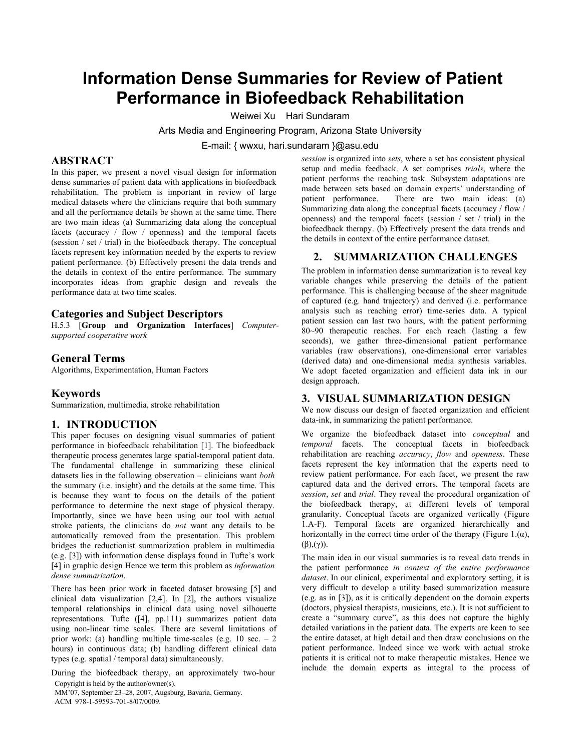# **Information Dense Summaries for Review of Patient Performance in Biofeedback Rehabilitation**

Weiwei Xu Hari Sundaram

Arts Media and Engineering Program, Arizona State University

E-mail: { wwxu, hari.sundaram }@asu.edu

#### **ABSTRACT**

In this paper, we present a novel visual design for information dense summaries of patient data with applications in biofeedback rehabilitation. The problem is important in review of large medical datasets where the clinicians require that both summary and all the performance details be shown at the same time. There are two main ideas (a) Summarizing data along the conceptual facets (accuracy / flow / openness) and the temporal facets (session / set / trial) in the biofeedback therapy. The conceptual facets represent key information needed by the experts to review patient performance. (b) Effectively present the data trends and the details in context of the entire performance. The summary incorporates ideas from graphic design and reveals the performance data at two time scales.

# **Categories and Subject Descriptors**

H.5.3 [**Group and Organization Interfaces**] *Computersupported cooperative work*

## **General Terms**

Algorithms, Experimentation, Human Factors

#### **Keywords**

Summarization, multimedia, stroke rehabilitation

#### **1. INTRODUCTION**

This paper focuses on designing visual summaries of patient performance in biofeedback rehabilitation [1]. The biofeedback therapeutic process generates large spatial-temporal patient data. The fundamental challenge in summarizing these clinical datasets lies in the following observation – clinicians want *both* the summary (i.e. insight) and the details at the same time. This is because they want to focus on the details of the patient performance to determine the next stage of physical therapy. Importantly, since we have been using our tool with actual stroke patients, the clinicians do *not* want any details to be automatically removed from the presentation. This problem bridges the reductionist summarization problem in multimedia (e.g. [3]) with information dense displays found in Tufte's work [4] in graphic design Hence we term this problem as *information dense summarization*.

There has been prior work in faceted dataset browsing [5] and clinical data visualization [2,4]. In [2], the authors visualize temporal relationships in clinical data using novel silhouette representations. Tufte ([4], pp.111) summarizes patient data using non-linear time scales. There are several limitations of prior work: (a) handling multiple time-scales (e.g.  $10 \text{ sec.} - 2$ ) hours) in continuous data; (b) handling different clinical data types (e.g. spatial / temporal data) simultaneously.

During the biofeedback therapy, an approximately two-hour Copyright is held by the author/owner(s).

MM'07, September 23–28, 2007, Augsburg, Bavaria, Germany. ACM 978-1-59593-701-8/07/0009.

*session* is organized into *sets*, where a set has consistent physical setup and media feedback. A set comprises *trials*, where the patient performs the reaching task. Subsystem adaptations are made between sets based on domain experts' understanding of patient performance. There are two main ideas: (a) Summarizing data along the conceptual facets (accuracy / flow / openness) and the temporal facets (session / set / trial) in the biofeedback therapy. (b) Effectively present the data trends and the details in context of the entire performance dataset.

#### **2. SUMMARIZATION CHALLENGES**

The problem in information dense summarization is to reveal key variable changes while preserving the details of the patient performance. This is challenging because of the sheer magnitude of captured (e.g. hand trajectory) and derived (i.e. performance analysis such as reaching error) time-series data. A typical patient session can last two hours, with the patient performing 80~90 therapeutic reaches. For each reach (lasting a few seconds), we gather three-dimensional patient performance variables (raw observations), one-dimensional error variables (derived data) and one-dimensional media synthesis variables. We adopt faceted organization and efficient data ink in our design approach.

# **3. VISUAL SUMMARIZATION DESIGN**

We now discuss our design of faceted organization and efficient data-ink, in summarizing the patient performance.

We organize the biofeedback dataset into *conceptual* and *temporal* facets. The conceptual facets in biofeedback rehabilitation are reaching *accuracy*, *flow* and *openness*. These facets represent the key information that the experts need to review patient performance. For each facet, we present the raw captured data and the derived errors. The temporal facets are *session*, *set* and *trial*. They reveal the procedural organization of the biofeedback therapy, at different levels of temporal granularity. Conceptual facets are organized vertically (Figure 1.A-F). Temporal facets are organized hierarchically and horizontally in the correct time order of the therapy (Figure 1. $(\alpha)$ ,  $(\beta), (\gamma)$ ).

The main idea in our visual summaries is to reveal data trends in the patient performance *in context of the entire performance dataset*. In our clinical, experimental and exploratory setting, it is very difficult to develop a utility based summarization measure (e.g. as in [3]), as it is critically dependent on the domain experts (doctors, physical therapists, musicians, etc.). It is not sufficient to create a "summary curve", as this does not capture the highly detailed variations in the patient data. The experts are keen to see the entire dataset, at high detail and then draw conclusions on the patient performance. Indeed since we work with actual stroke patients it is critical not to make therapeutic mistakes. Hence we include the domain experts as integral to the process of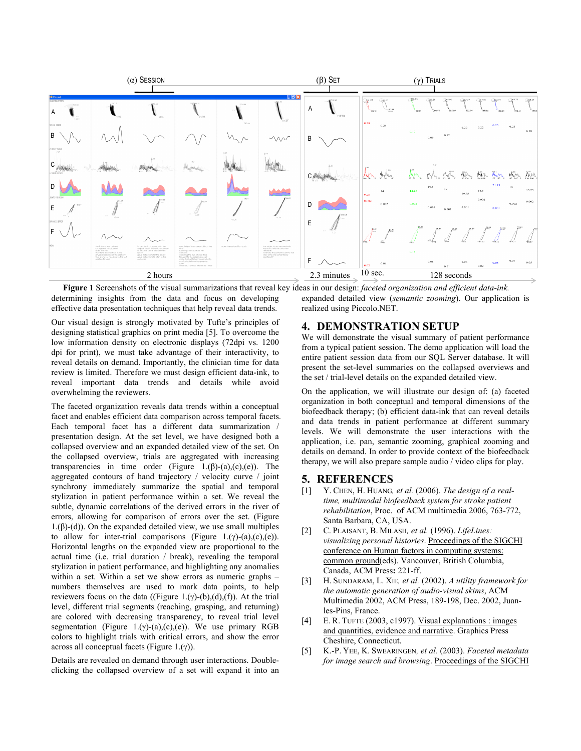

determining insights from the data and focus on developing effective data presentation techniques that help reveal data trends. realized using Piccolo.NET. **Figure 1** Screenshots of the visual summarizations that reveal key ideas in our design: *faceted organization and efficient data-ink.*

Our visual design is strongly motivated by Tufte's principles of designing statistical graphics on print media [5]. To overcome the low information density on electronic displays (72dpi vs. 1200) dpi for print), we must take advantage of their interactivity, to reveal details on demand. Importantly, the clinician time for data review is limited. Therefore we must design efficient data-ink, to reveal important data trends and details while avoid overwhelming the reviewers.

The faceted organization reveals data trends within a conceptual facet and enables efficient data comparison across temporal facets. Each temporal facet has a different data summarization / presentation design. At the set level, we have designed both a collapsed overview and an expanded detailed view of the set. On the collapsed overview, trials are aggregated with increasing transparencies in time order (Figure 1. $(\beta)$ -(a),(c),(e)). The aggregated contours of hand trajectory / velocity curve / joint synchrony immediately summarize the spatial and temporal stylization in patient performance within a set. We reveal the subtle, dynamic correlations of the derived errors in the river of errors, allowing for comparison of errors over the set. (Figure 1.(β)-(d)). On the expanded detailed view, we use small multiples to allow for inter-trial comparisons (Figure 1.(γ)-(a),(c),(e)). Horizontal lengths on the expanded view are proportional to the actual time (i.e. trial duration / break), revealing the temporal stylization in patient performance, and highlighting any anomalies within a set. Within a set we show errors as numeric graphs – numbers themselves are used to mark data points, to help reviewers focus on the data ((Figure 1.(γ)-(b),(d),(f)). At the trial level, different trial segments (reaching, grasping, and returning) are colored with decreasing transparency, to reveal trial level segmentation (Figure 1.(γ)-(a),(c),(e)). We use primary RGB colors to highlight trials with critical errors, and show the error across all conceptual facets (Figure 1.(γ)).

Details are revealed on demand through user interactions. Doubleclicking the collapsed overview of a set will expand it into an expanded detailed view (*semantic zooming*). Our application is

# **4. DEMONSTRATION SETUP**

We will demonstrate the visual summary of patient performance from a typical patient session. The demo application will load the entire patient session data from our SQL Server database. It will present the set-level summaries on the collapsed overviews and the set / trial-level details on the expanded detailed view.

On the application, we will illustrate our design of: (a) faceted organization in both conceptual and temporal dimensions of the biofeedback therapy; (b) efficient data-ink that can reveal details and data trends in patient performance at different summary levels. We will demonstrate the user interactions with the application, i.e. pan, semantic zooming, graphical zooming and details on demand. In order to provide context of the biofeedback therapy, we will also prepare sample audio / video clips for play.

## **5. REFERENCES**

- [1] Y. CHEN, H. HUANG*, et al.* (2006). *The design of a realtime, multimodal biofeedback system for stroke patient rehabilitation*, Proc. of ACM multimedia 2006, 763-772, Santa Barbara, CA, USA.
- [2] C. PLAISANT, B. MILASH*, et al.* (1996). *LifeLines: visualizing personal histories*. Proceedings of the SIGCHI conference on Human factors in computing systems: common ground(eds). Vancouver, British Columbia, Canada, ACM Press**:** 221-ff.
- [3] H. SUNDARAM, L. XIE*, et al.* (2002). *A utility framework for the automatic generation of audio-visual skims*, ACM Multimedia 2002, ACM Press, 189-198, Dec. 2002, Juanles-Pins, France.
- [4] E. R. TUFTE (2003, c1997). Visual explanations : images and quantities, evidence and narrative. Graphics Press Cheshire, Connecticut.
- [5] K.-P. YEE, K. SWEARINGEN*, et al.* (2003). *Faceted metadata for image search and browsing*. Proceedings of the SIGCHI